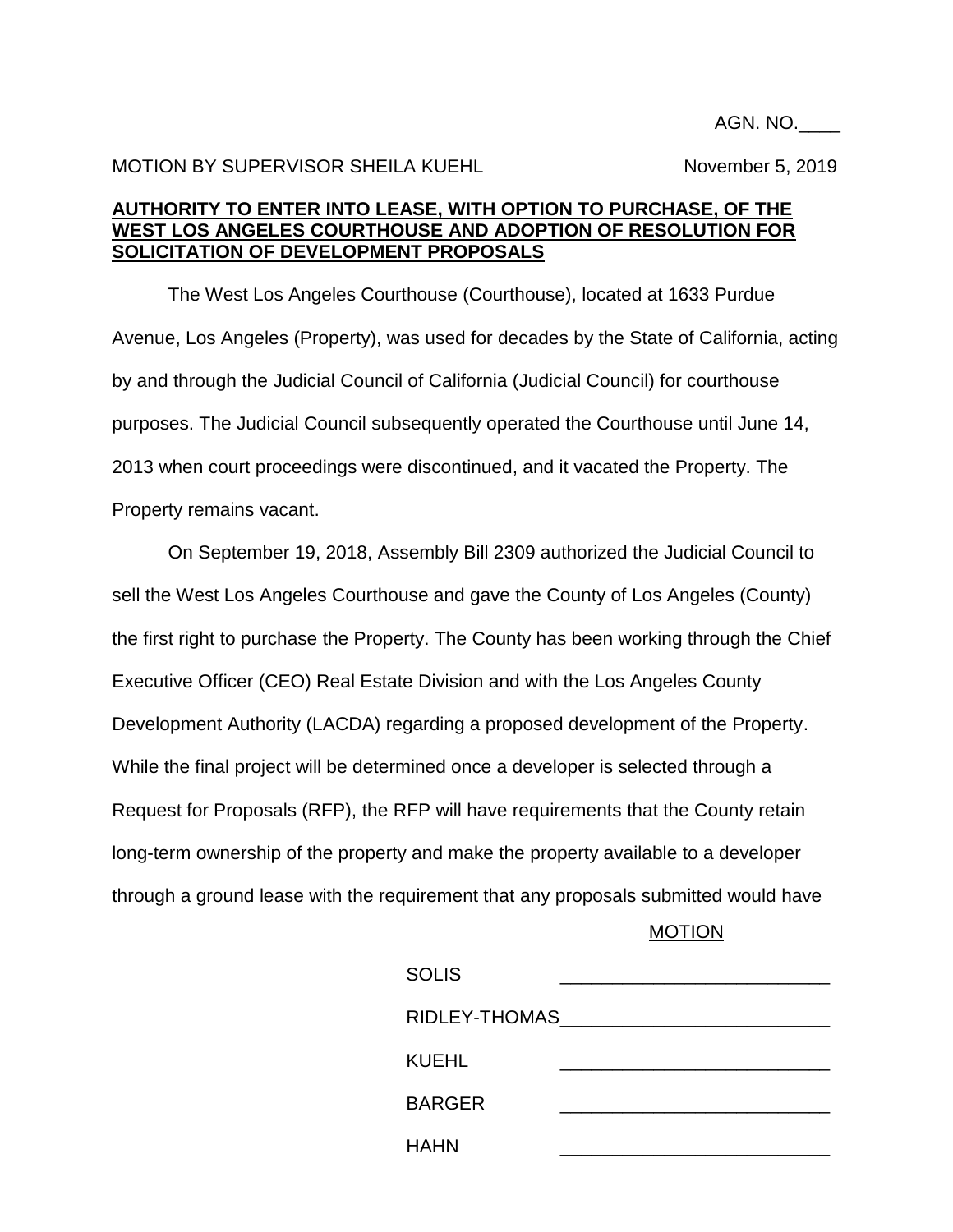## MOTION BY SUPERVISOR SHEILA KUEHL NOVEMBER 5, 2019

## **AUTHORITY TO ENTER INTO LEASE, WITH OPTION TO PURCHASE, OF THE WEST LOS ANGELES COURTHOUSE AND ADOPTION OF RESOLUTION FOR SOLICITATION OF DEVELOPMENT PROPOSALS**

The West Los Angeles Courthouse (Courthouse), located at 1633 Purdue Avenue, Los Angeles (Property), was used for decades by the State of California, acting by and through the Judicial Council of California (Judicial Council) for courthouse purposes. The Judicial Council subsequently operated the Courthouse until June 14, 2013 when court proceedings were discontinued, and it vacated the Property. The Property remains vacant.

On September 19, 2018, Assembly Bill 2309 authorized the Judicial Council to sell the West Los Angeles Courthouse and gave the County of Los Angeles (County) the first right to purchase the Property. The County has been working through the Chief Executive Officer (CEO) Real Estate Division and with the Los Angeles County Development Authority (LACDA) regarding a proposed development of the Property. While the final project will be determined once a developer is selected through a Request for Proposals (RFP), the RFP will have requirements that the County retain long-term ownership of the property and make the property available to a developer through a ground lease with the requirement that any proposals submitted would have

#### MOTION

| <b>SOLIS</b>  |  |
|---------------|--|
| RIDLEY-THOMAS |  |
| <b>KUEHL</b>  |  |
| <b>BARGER</b> |  |
| <b>HAHN</b>   |  |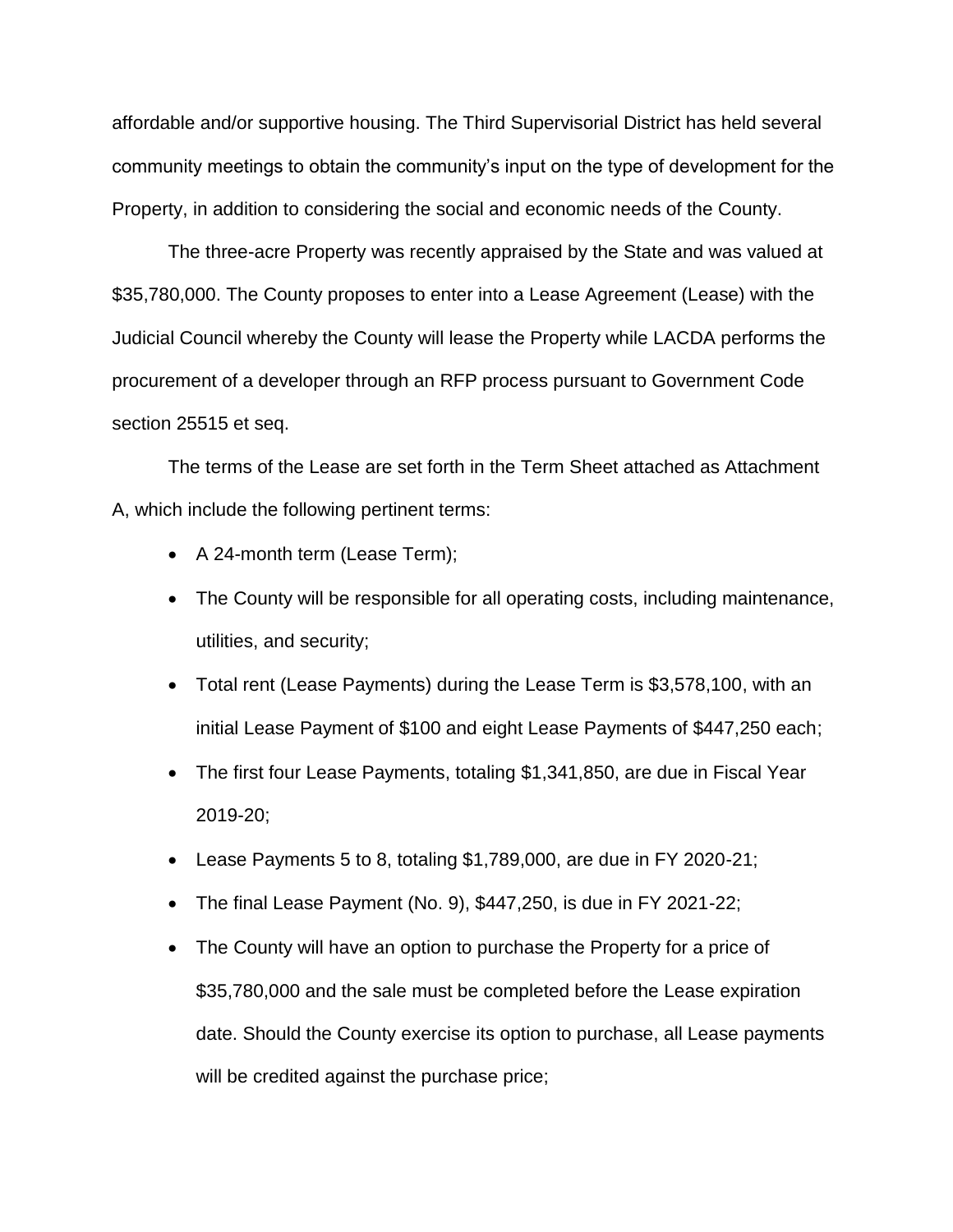affordable and/or supportive housing. The Third Supervisorial District has held several community meetings to obtain the community's input on the type of development for the Property, in addition to considering the social and economic needs of the County.

The three-acre Property was recently appraised by the State and was valued at \$35,780,000. The County proposes to enter into a Lease Agreement (Lease) with the Judicial Council whereby the County will lease the Property while LACDA performs the procurement of a developer through an RFP process pursuant to Government Code section 25515 et seq.

The terms of the Lease are set forth in the Term Sheet attached as Attachment A, which include the following pertinent terms:

- A 24-month term (Lease Term);
- The County will be responsible for all operating costs, including maintenance, utilities, and security;
- Total rent (Lease Payments) during the Lease Term is \$3,578,100, with an initial Lease Payment of \$100 and eight Lease Payments of \$447,250 each;
- The first four Lease Payments, totaling \$1,341,850, are due in Fiscal Year 2019-20;
- Lease Payments 5 to 8, totaling \$1,789,000, are due in FY 2020-21;
- The final Lease Payment (No. 9), \$447,250, is due in FY 2021-22;
- The County will have an option to purchase the Property for a price of \$35,780,000 and the sale must be completed before the Lease expiration date. Should the County exercise its option to purchase, all Lease payments will be credited against the purchase price;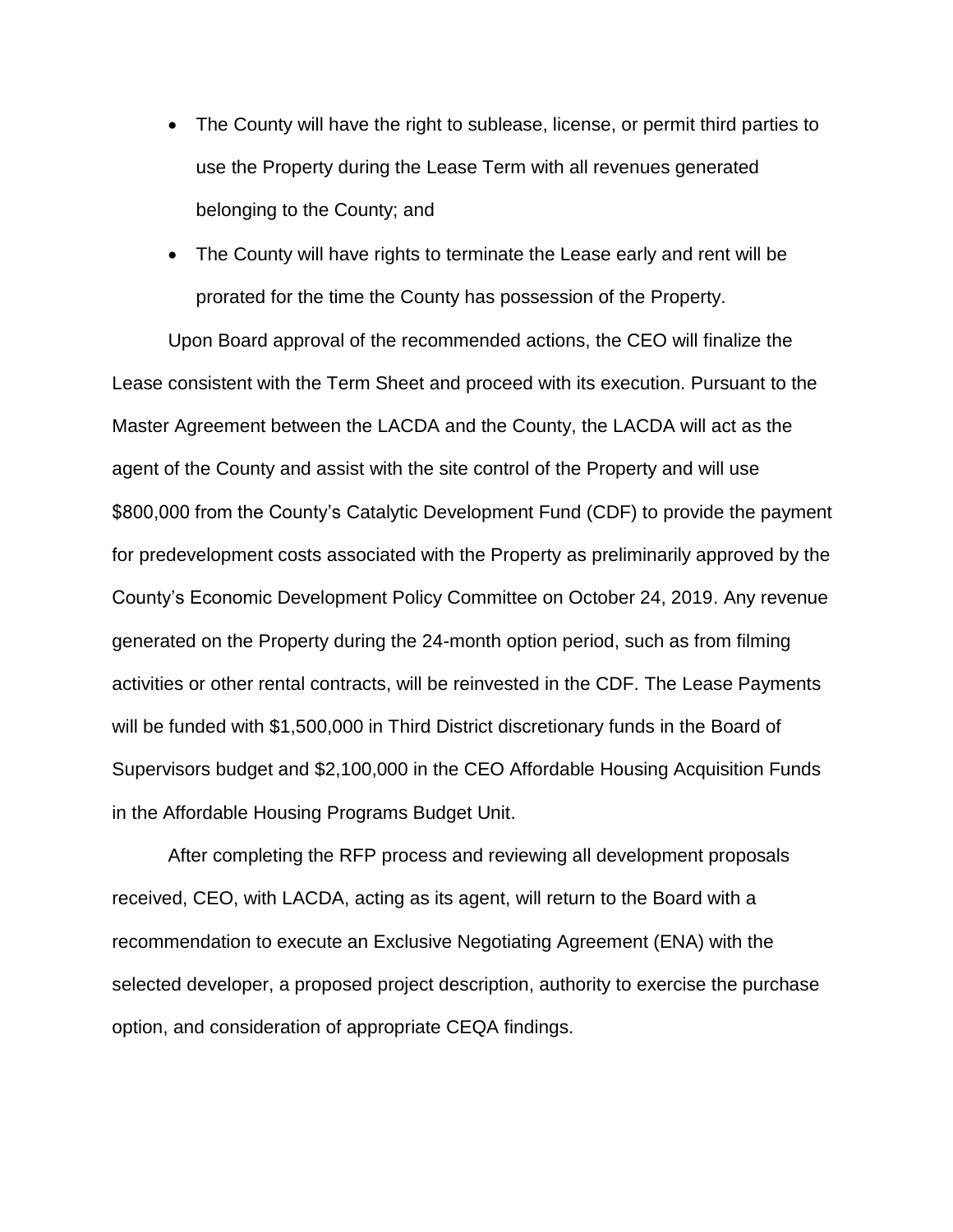- The County will have the right to sublease, license, or permit third parties to use the Property during the Lease Term with all revenues generated belonging to the County; and
- The County will have rights to terminate the Lease early and rent will be prorated for the time the County has possession of the Property.

Upon Board approval of the recommended actions, the CEO will finalize the Lease consistent with the Term Sheet and proceed with its execution. Pursuant to the Master Agreement between the LACDA and the County, the LACDA will act as the agent of the County and assist with the site control of the Property and will use \$800,000 from the County's Catalytic Development Fund (CDF) to provide the payment for predevelopment costs associated with the Property as preliminarily approved by the County's Economic Development Policy Committee on October 24, 2019. Any revenue generated on the Property during the 24-month option period, such as from filming activities or other rental contracts, will be reinvested in the CDF. The Lease Payments will be funded with \$1,500,000 in Third District discretionary funds in the Board of Supervisors budget and \$2,100,000 in the CEO Affordable Housing Acquisition Funds in the Affordable Housing Programs Budget Unit.

After completing the RFP process and reviewing all development proposals received, CEO, with LACDA, acting as its agent, will return to the Board with a recommendation to execute an Exclusive Negotiating Agreement (ENA) with the selected developer, a proposed project description, authority to exercise the purchase option, and consideration of appropriate CEQA findings.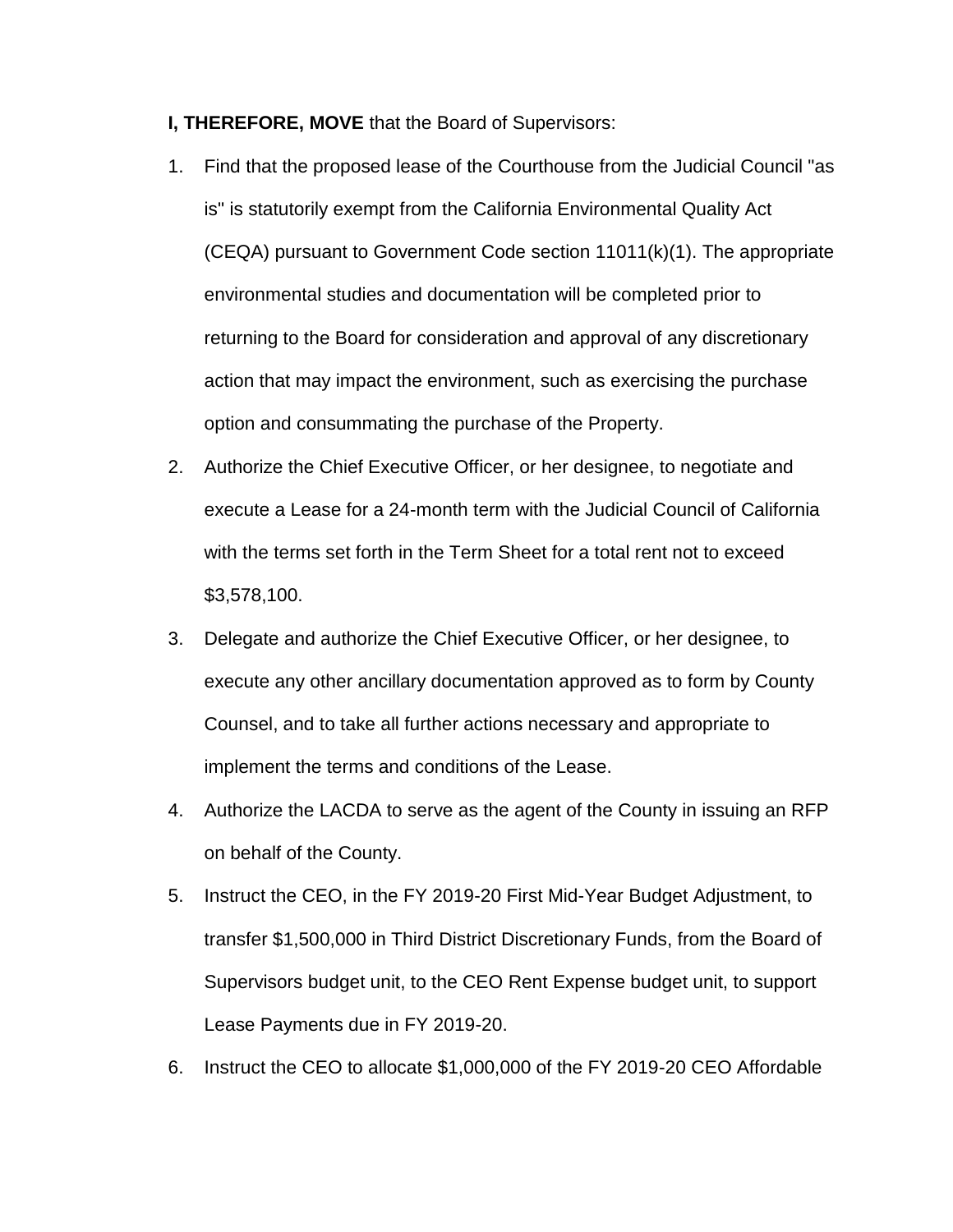- **I, THEREFORE, MOVE** that the Board of Supervisors:
- 1. Find that the proposed lease of the Courthouse from the Judicial Council "as is" is statutorily exempt from the California Environmental Quality Act (CEQA) pursuant to Government Code section 11011(k)(1). The appropriate environmental studies and documentation will be completed prior to returning to the Board for consideration and approval of any discretionary action that may impact the environment, such as exercising the purchase option and consummating the purchase of the Property.
- 2. Authorize the Chief Executive Officer, or her designee, to negotiate and execute a Lease for a 24-month term with the Judicial Council of California with the terms set forth in the Term Sheet for a total rent not to exceed \$3,578,100.
- 3. Delegate and authorize the Chief Executive Officer, or her designee, to execute any other ancillary documentation approved as to form by County Counsel, and to take all further actions necessary and appropriate to implement the terms and conditions of the Lease.
- 4. Authorize the LACDA to serve as the agent of the County in issuing an RFP on behalf of the County.
- 5. Instruct the CEO, in the FY 2019-20 First Mid-Year Budget Adjustment, to transfer \$1,500,000 in Third District Discretionary Funds, from the Board of Supervisors budget unit, to the CEO Rent Expense budget unit, to support Lease Payments due in FY 2019-20.
- 6. Instruct the CEO to allocate \$1,000,000 of the FY 2019-20 CEO Affordable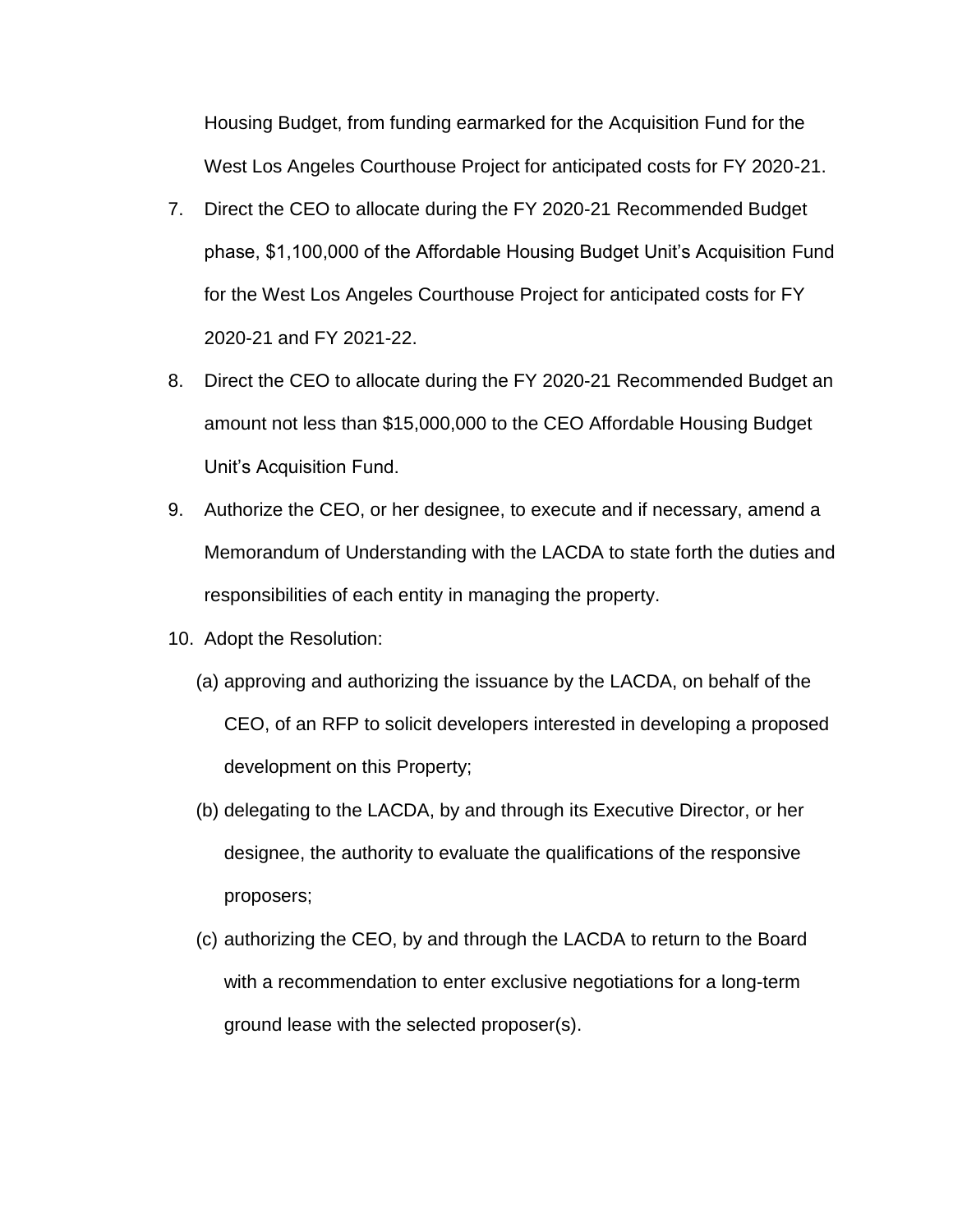Housing Budget, from funding earmarked for the Acquisition Fund for the West Los Angeles Courthouse Project for anticipated costs for FY 2020-21.

- 7. Direct the CEO to allocate during the FY 2020-21 Recommended Budget phase, \$1,100,000 of the Affordable Housing Budget Unit's Acquisition Fund for the West Los Angeles Courthouse Project for anticipated costs for FY 2020-21 and FY 2021-22.
- 8. Direct the CEO to allocate during the FY 2020-21 Recommended Budget an amount not less than \$15,000,000 to the CEO Affordable Housing Budget Unit's Acquisition Fund.
- 9. Authorize the CEO, or her designee, to execute and if necessary, amend a Memorandum of Understanding with the LACDA to state forth the duties and responsibilities of each entity in managing the property.
- 10. Adopt the Resolution:
	- (a) approving and authorizing the issuance by the LACDA, on behalf of the CEO, of an RFP to solicit developers interested in developing a proposed development on this Property;
	- (b) delegating to the LACDA, by and through its Executive Director, or her designee, the authority to evaluate the qualifications of the responsive proposers;
	- (c) authorizing the CEO, by and through the LACDA to return to the Board with a recommendation to enter exclusive negotiations for a long-term ground lease with the selected proposer(s).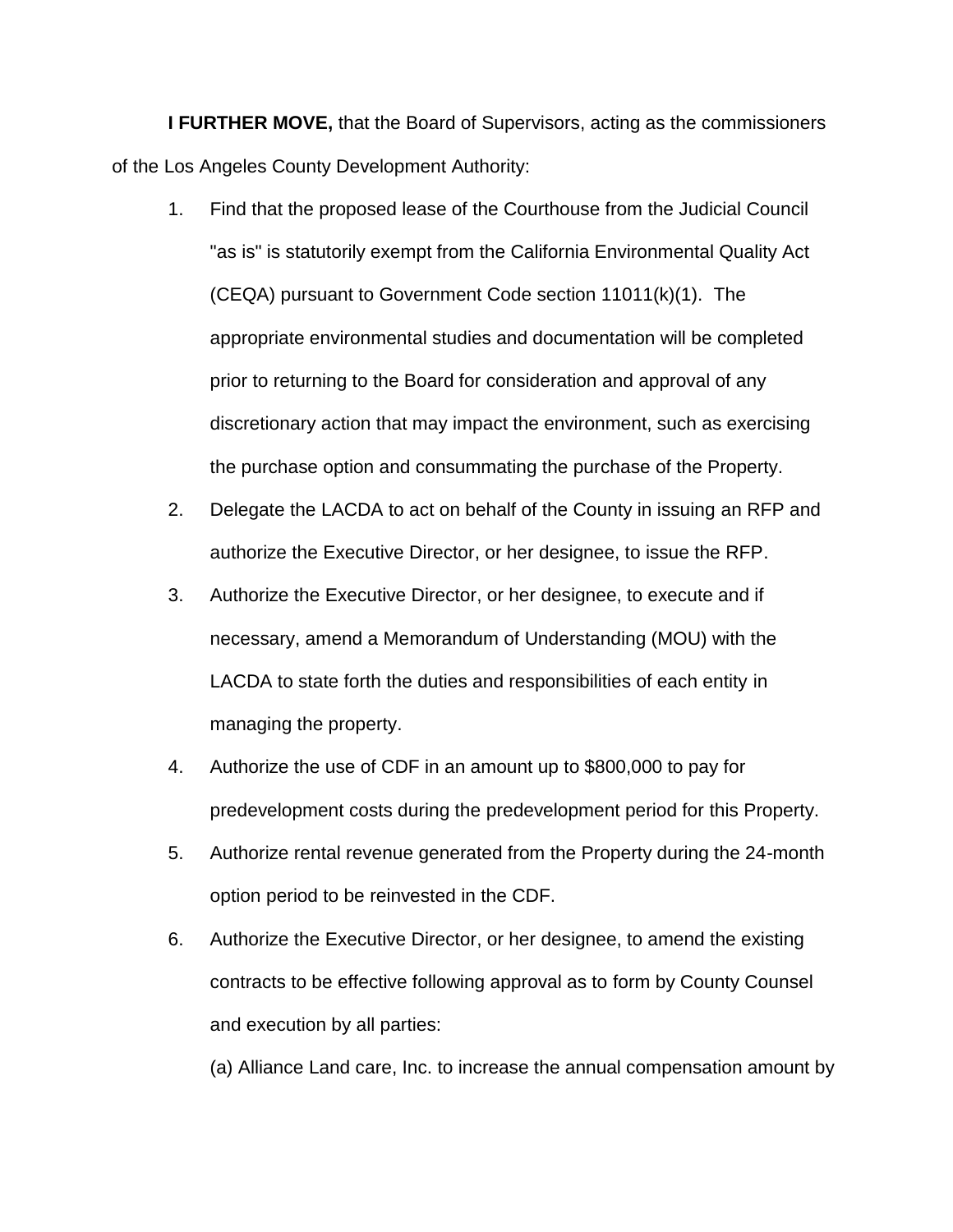**I FURTHER MOVE,** that the Board of Supervisors, acting as the commissioners of the Los Angeles County Development Authority:

- 1. Find that the proposed lease of the Courthouse from the Judicial Council "as is" is statutorily exempt from the California Environmental Quality Act (CEQA) pursuant to Government Code section 11011(k)(1). The appropriate environmental studies and documentation will be completed prior to returning to the Board for consideration and approval of any discretionary action that may impact the environment, such as exercising the purchase option and consummating the purchase of the Property.
- 2. Delegate the LACDA to act on behalf of the County in issuing an RFP and authorize the Executive Director, or her designee, to issue the RFP.
- 3. Authorize the Executive Director, or her designee, to execute and if necessary, amend a Memorandum of Understanding (MOU) with the LACDA to state forth the duties and responsibilities of each entity in managing the property.
- 4. Authorize the use of CDF in an amount up to \$800,000 to pay for predevelopment costs during the predevelopment period for this Property.
- 5. Authorize rental revenue generated from the Property during the 24-month option period to be reinvested in the CDF.
- 6. Authorize the Executive Director, or her designee, to amend the existing contracts to be effective following approval as to form by County Counsel and execution by all parties:

(a) Alliance Land care, Inc. to increase the annual compensation amount by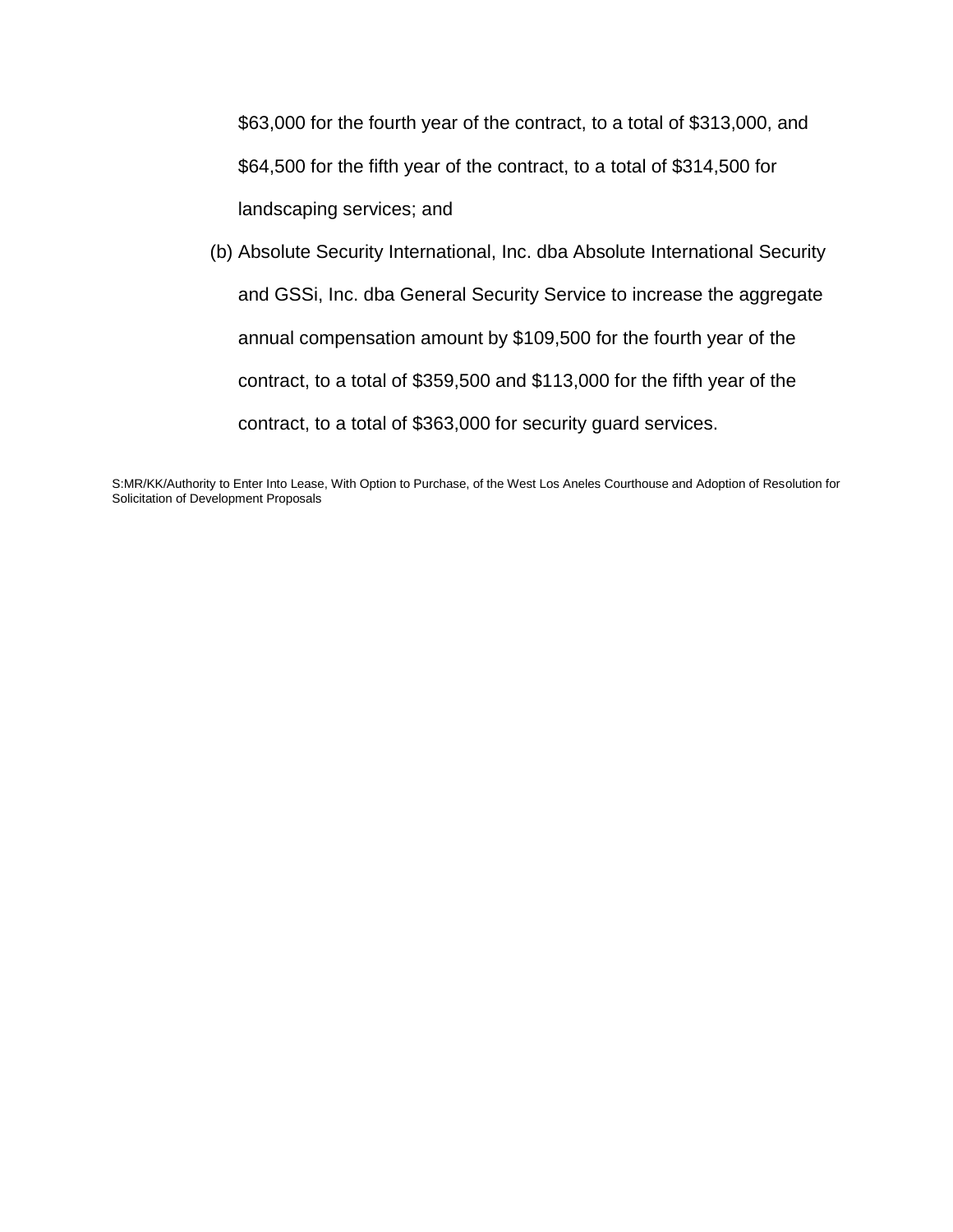\$63,000 for the fourth year of the contract, to a total of \$313,000, and \$64,500 for the fifth year of the contract, to a total of \$314,500 for landscaping services; and

(b) Absolute Security International, Inc. dba Absolute International Security and GSSi, Inc. dba General Security Service to increase the aggregate annual compensation amount by \$109,500 for the fourth year of the contract, to a total of \$359,500 and \$113,000 for the fifth year of the contract, to a total of \$363,000 for security guard services.

S:MR/KK/Authority to Enter Into Lease, With Option to Purchase, of the West Los Aneles Courthouse and Adoption of Resolution for Solicitation of Development Proposals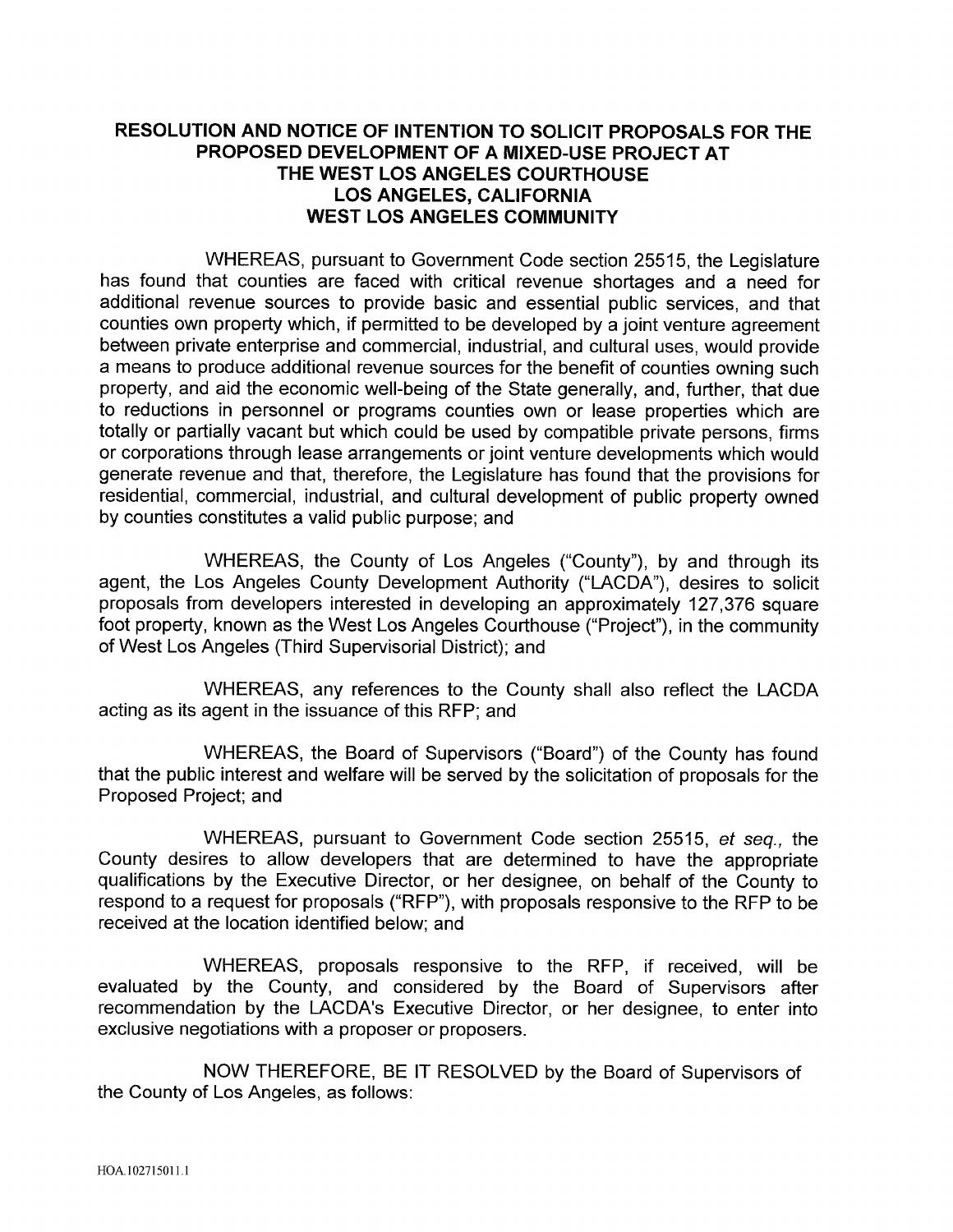# RESOLUTION AND NOTICE OF INTENTION TO SOLICIT PROPOSALS FOR THE PROPOSED DEVELOPMENT OF A MIXED-USE PROJECT AT THE WEST LOS ANGELES COURTHOUSE **LOS ANGELES, CALIFORNIA WEST LOS ANGELES COMMUNITY**

WHEREAS, pursuant to Government Code section 25515, the Legislature has found that counties are faced with critical revenue shortages and a need for additional revenue sources to provide basic and essential public services, and that counties own property which, if permitted to be developed by a joint venture agreement between private enterprise and commercial, industrial, and cultural uses, would provide a means to produce additional revenue sources for the benefit of counties owning such property, and aid the economic well-being of the State generally, and, further, that due to reductions in personnel or programs counties own or lease properties which are totally or partially vacant but which could be used by compatible private persons, firms or corporations through lease arrangements or joint venture developments which would generate revenue and that, therefore, the Legislature has found that the provisions for residential, commercial, industrial, and cultural development of public property owned by counties constitutes a valid public purpose; and

WHEREAS, the County of Los Angeles ("County"), by and through its agent, the Los Angeles County Development Authority ("LACDA"), desires to solicit proposals from developers interested in developing an approximately 127,376 square foot property, known as the West Los Angeles Courthouse ("Project"), in the community of West Los Angeles (Third Supervisorial District); and

WHEREAS, any references to the County shall also reflect the LACDA acting as its agent in the issuance of this RFP; and

WHEREAS, the Board of Supervisors ("Board") of the County has found that the public interest and welfare will be served by the solicitation of proposals for the Proposed Project; and

WHEREAS, pursuant to Government Code section 25515, et seq., the County desires to allow developers that are determined to have the appropriate qualifications by the Executive Director, or her designee, on behalf of the County to respond to a request for proposals ("RFP"), with proposals responsive to the RFP to be received at the location identified below; and

WHEREAS, proposals responsive to the RFP, if received, will be evaluated by the County, and considered by the Board of Supervisors after recommendation by the LACDA's Executive Director, or her designee, to enter into exclusive negotiations with a proposer or proposers.

NOW THEREFORE, BE IT RESOLVED by the Board of Supervisors of the County of Los Angeles, as follows: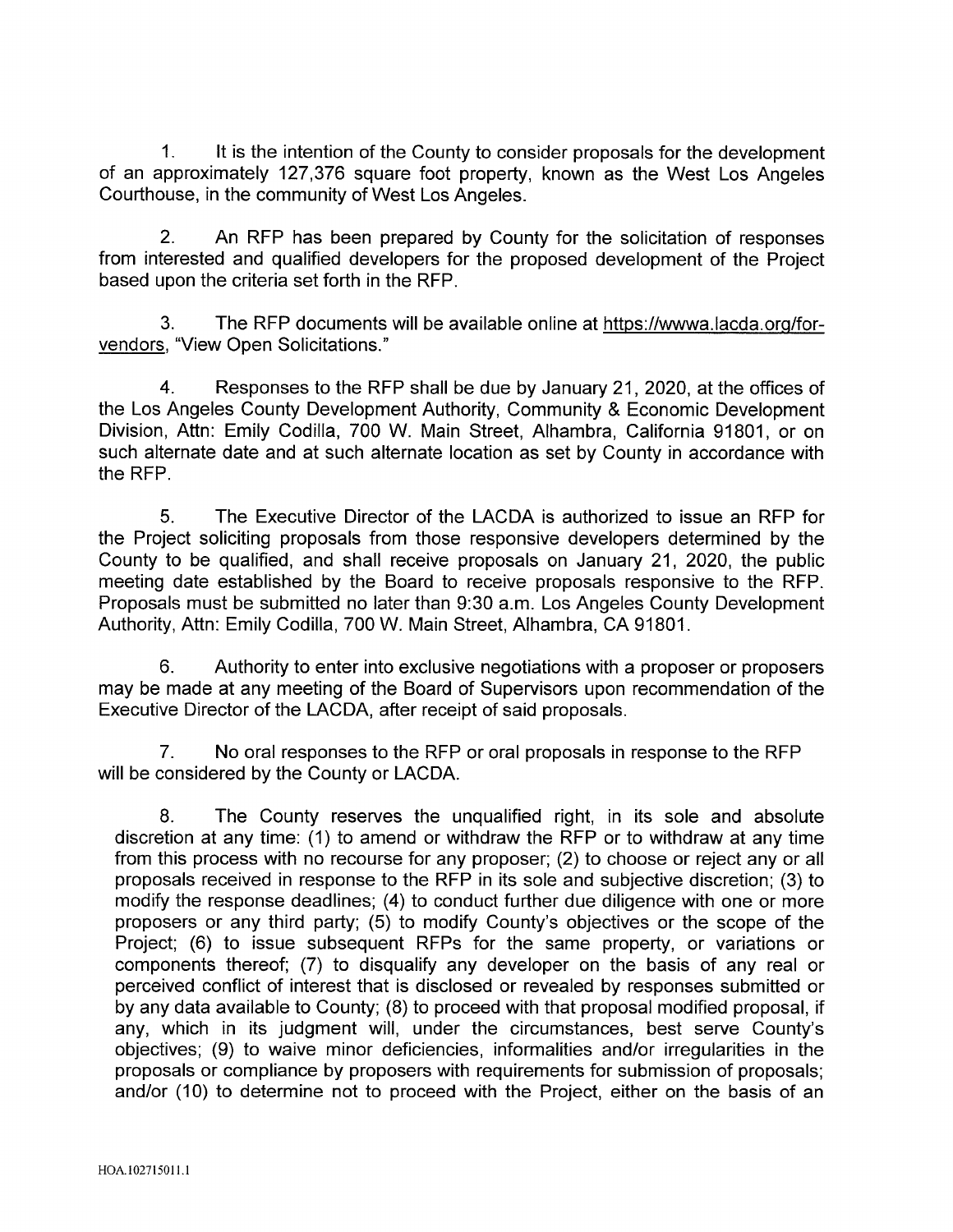$1<sub>1</sub>$ It is the intention of the County to consider proposals for the development of an approximately 127,376 square foot property, known as the West Los Angeles Courthouse, in the community of West Los Angeles.

 $2.$ An RFP has been prepared by County for the solicitation of responses from interested and qualified developers for the proposed development of the Project based upon the criteria set forth in the RFP.

The RFP documents will be available online at https://wwwa.lacda.org/for-З. vendors, "View Open Solicitations."

 $4<sup>1</sup>$ Responses to the RFP shall be due by January 21, 2020, at the offices of the Los Angeles County Development Authority, Community & Economic Development Division, Attn: Emily Codilla, 700 W. Main Street, Alhambra, California 91801, or on such alternate date and at such alternate location as set by County in accordance with the RFP.

 $5<sub>1</sub>$ The Executive Director of the LACDA is authorized to issue an RFP for the Project soliciting proposals from those responsive developers determined by the County to be qualified, and shall receive proposals on January 21, 2020, the public meeting date established by the Board to receive proposals responsive to the RFP. Proposals must be submitted no later than 9:30 a.m. Los Angeles County Development Authority, Attn: Emily Codilla, 700 W. Main Street, Alhambra, CA 91801.

6. Authority to enter into exclusive negotiations with a proposer or proposers may be made at any meeting of the Board of Supervisors upon recommendation of the Executive Director of the LACDA, after receipt of said proposals.

7. No oral responses to the RFP or oral proposals in response to the RFP will be considered by the County or LACDA.

8. The County reserves the unqualified right, in its sole and absolute discretion at any time: (1) to amend or withdraw the RFP or to withdraw at any time from this process with no recourse for any proposer; (2) to choose or reject any or all proposals received in response to the RFP in its sole and subjective discretion; (3) to modify the response deadlines; (4) to conduct further due diligence with one or more proposers or any third party; (5) to modify County's objectives or the scope of the Project; (6) to issue subsequent RFPs for the same property, or variations or components thereof; (7) to disqualify any developer on the basis of any real or perceived conflict of interest that is disclosed or revealed by responses submitted or by any data available to County; (8) to proceed with that proposal modified proposal, if any, which in its judgment will, under the circumstances, best serve County's objectives; (9) to waive minor deficiencies, informalities and/or irregularities in the proposals or compliance by proposers with requirements for submission of proposals; and/or (10) to determine not to proceed with the Project, either on the basis of an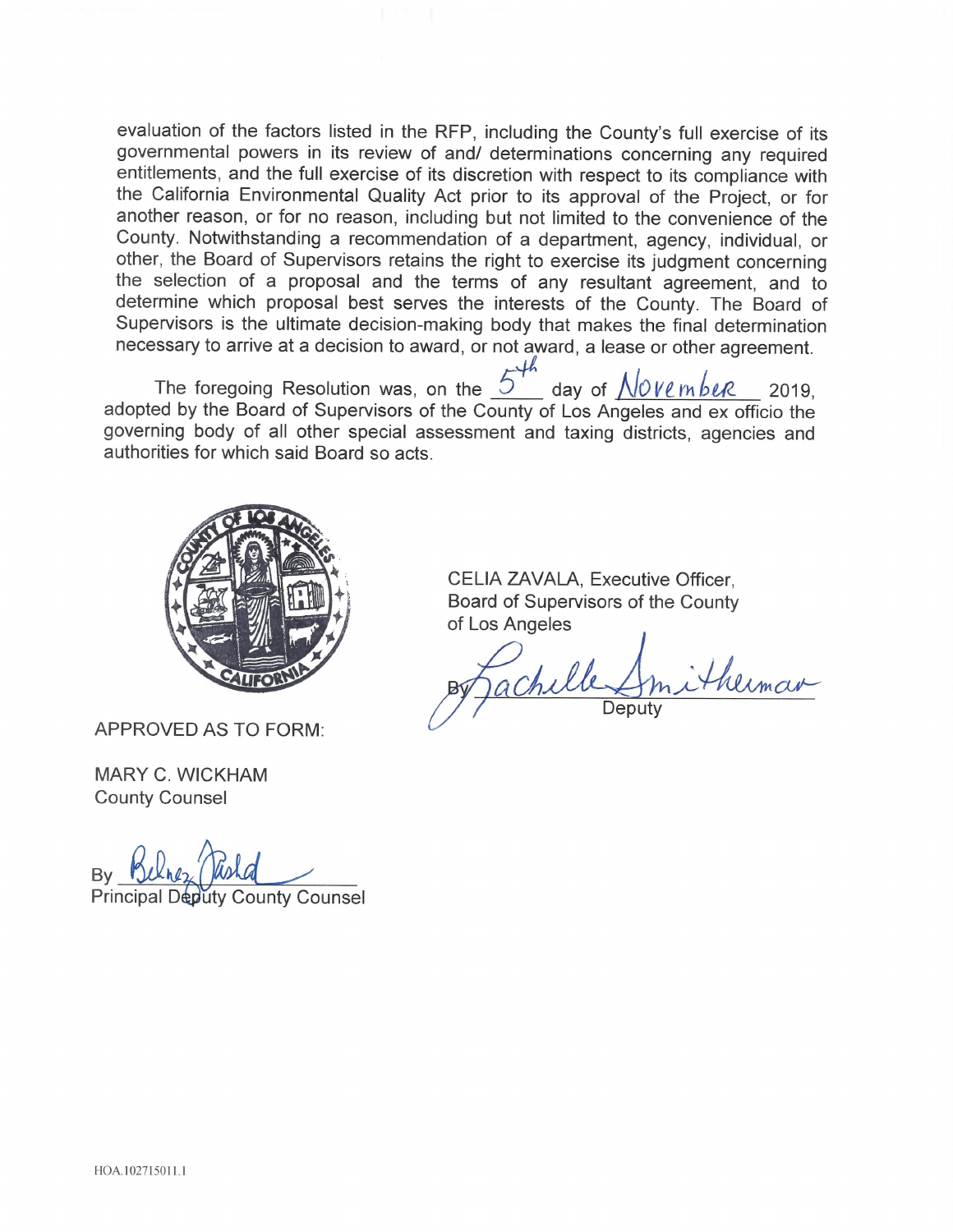evaluation of the factors listed in the RFP, including the County's full exercise of its governmental powers in its review of and/ determinations concerning any required entitlements, and the full exercise of its discretion with respect to its compliance with the California Environmental Quality Act prior to its approval of the Project, or for another reason, or for no reason, including but not limited to the convenience of the County. Notwithstanding a recommendation of a department, agency, individual, or other, the Board of Supervisors retains the right to exercise its judgment concerning the selection of a proposal and the terms of any resultant agreement, and to determine which proposal best serves the interests of the County. The Board of Supervisors is the ultimate decision-making body that makes the final determination necessary to arrive at a decision to award, or not award, a lease or other agreement.

The foregoing Resolution was, on the  $5'$  day of  $\sqrt{0}$ Ve mbeR 2019. adopted by the Board of Supervisors of the County of Los Angeles and ex officio the governing body of all other special assessment and taxing districts, agencies and authorities for which said Board so acts.



APPROVED AS TO FORM:

**MARY C. WICKHAM County Counsel** 

**Principal Deputy County Counsel** 

CELIA ZAVALA, Executive Officer, Board of Supervisors of the County of Los Angeles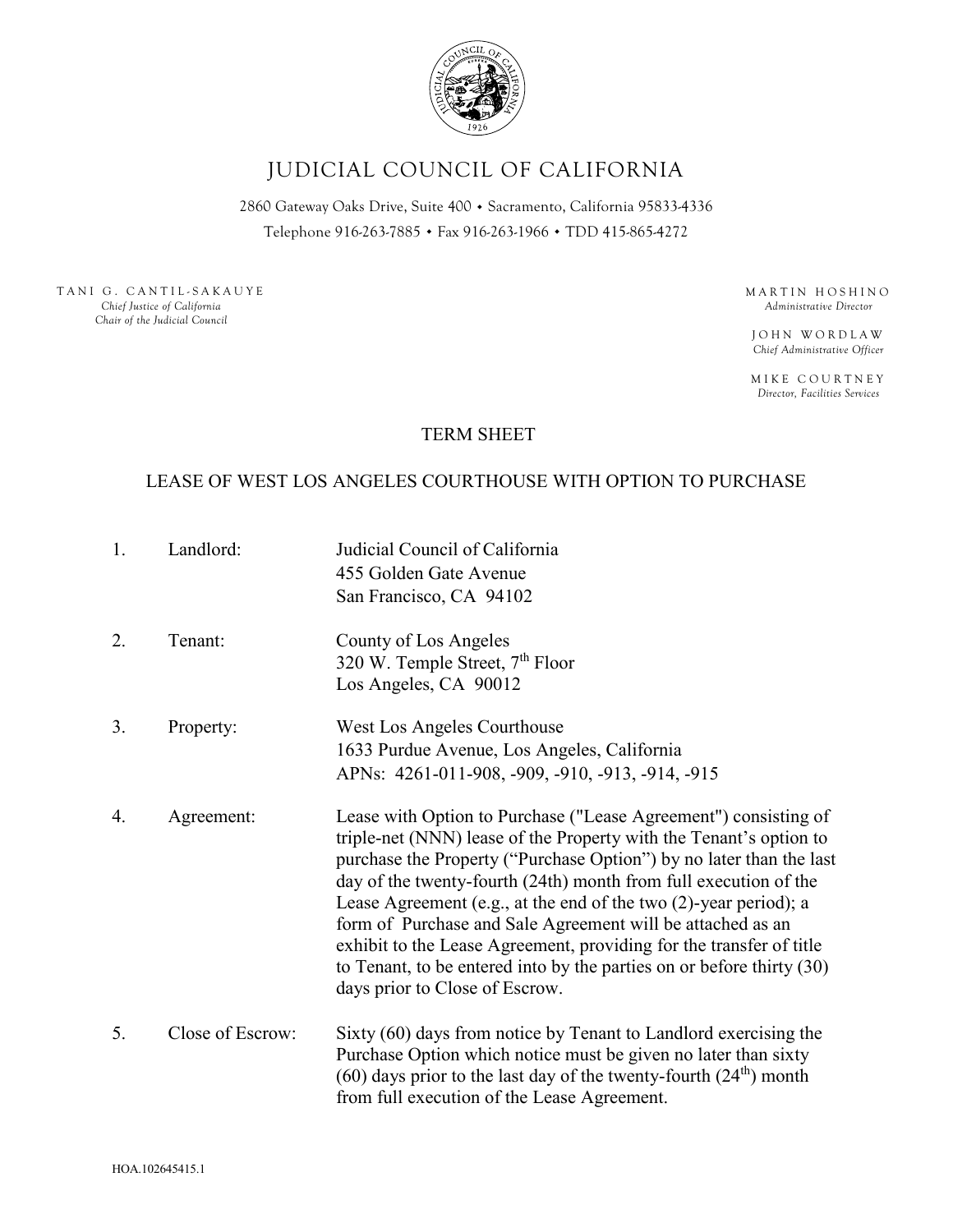

# JUDICIAL COUNCIL OF CALIFORNIA

2860 Gateway Oaks Drive, Suite 400 · Sacramento, California 95833-4336 Telephone 916-263-7885 . Fax 916-263-1966 . TDD 415-865-4272

TANI G. CANTIL-SAKAUYE *Chief Justice of California Chair of the Judicial Council*

MARTIN HOSHINO *Administrative Director*

JOHN WORDLAW *Chief Administrative Officer*

MIKE COURTNEY *Director, Facilities Services*

# TERM SHEET

## LEASE OF WEST LOS ANGELES COURTHOUSE WITH OPTION TO PURCHASE

1. Landlord: Judicial Council of California 455 Golden Gate Avenue San Francisco, CA 94102 2. Tenant: County of Los Angeles 320 W. Temple Street,  $7<sup>th</sup>$  Floor Los Angeles, CA 90012 3. Property: West Los Angeles Courthouse 1633 Purdue Avenue, Los Angeles, California APNs: 4261-011-908, -909, -910, -913, -914, -915 4. Agreement: Lease with Option to Purchase ("Lease Agreement") consisting of triple-net (NNN) lease of the Property with the Tenant's option to purchase the Property ("Purchase Option") by no later than the last day of the twenty-fourth (24th) month from full execution of the Lease Agreement (e.g., at the end of the two (2)-year period); a form of Purchase and Sale Agreement will be attached as an exhibit to the Lease Agreement, providing for the transfer of title to Tenant, to be entered into by the parties on or before thirty (30) days prior to Close of Escrow. 5. Close of Escrow: Sixty (60) days from notice by Tenant to Landlord exercising the Purchase Option which notice must be given no later than sixty  $(60)$  days prior to the last day of the twenty-fourth  $(24<sup>th</sup>)$  month from full execution of the Lease Agreement.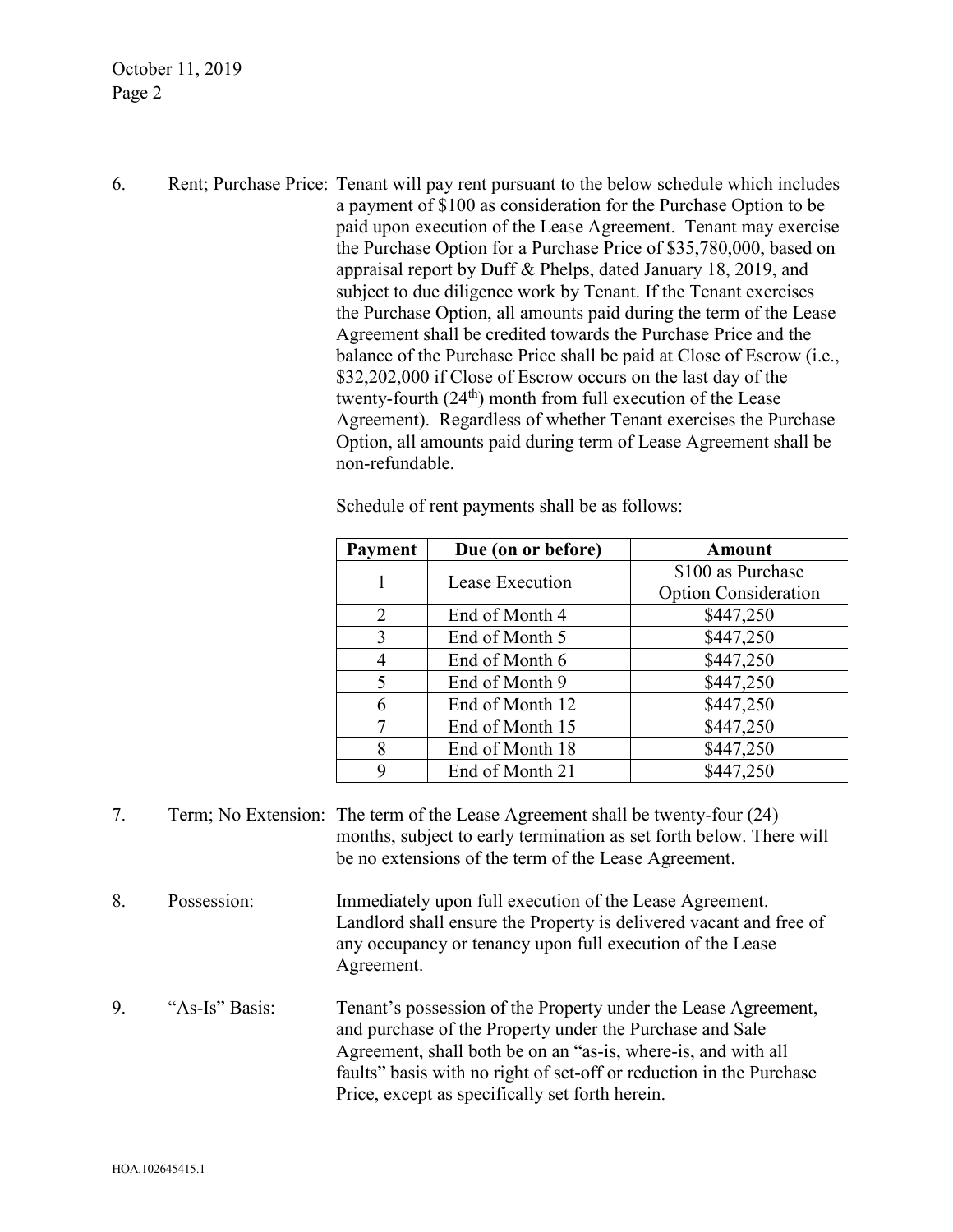October 11, 2019 Page 2

6. Rent; Purchase Price: Tenant will pay rent pursuant to the below schedule which includes a payment of \$100 as consideration for the Purchase Option to be paid upon execution of the Lease Agreement. Tenant may exercise the Purchase Option for a Purchase Price of \$35,780,000, based on appraisal report by Duff & Phelps, dated January 18, 2019, and subject to due diligence work by Tenant. If the Tenant exercises the Purchase Option, all amounts paid during the term of the Lease Agreement shall be credited towards the Purchase Price and the balance of the Purchase Price shall be paid at Close of Escrow (i.e., \$32,202,000 if Close of Escrow occurs on the last day of the twenty-fourth  $(24<sup>th</sup>)$  month from full execution of the Lease Agreement). Regardless of whether Tenant exercises the Purchase Option, all amounts paid during term of Lease Agreement shall be non-refundable.

| Payment | Due (on or before) | <b>Amount</b>               |
|---------|--------------------|-----------------------------|
|         | Lease Execution    | \$100 as Purchase           |
|         |                    | <b>Option Consideration</b> |
| 2       | End of Month 4     | \$447,250                   |
| 3       | End of Month 5     | \$447,250                   |
| 4       | End of Month 6     | \$447,250                   |
| 5       | End of Month 9     | \$447,250                   |
| 6       | End of Month 12    | \$447,250                   |
| 7       | End of Month 15    | \$447,250                   |
| 8       | End of Month 18    | \$447,250                   |
| 9       | End of Month 21    | \$447,250                   |

Schedule of rent payments shall be as follows:

- 7. Term; No Extension: The term of the Lease Agreement shall be twenty-four (24) months, subject to early termination as set forth below. There will be no extensions of the term of the Lease Agreement.
- 8. Possession: Immediately upon full execution of the Lease Agreement. Landlord shall ensure the Property is delivered vacant and free of any occupancy or tenancy upon full execution of the Lease Agreement.
- 9. "As-Is" Basis: Tenant's possession of the Property under the Lease Agreement, and purchase of the Property under the Purchase and Sale Agreement, shall both be on an "as-is, where-is, and with all faults" basis with no right of set-off or reduction in the Purchase Price, except as specifically set forth herein.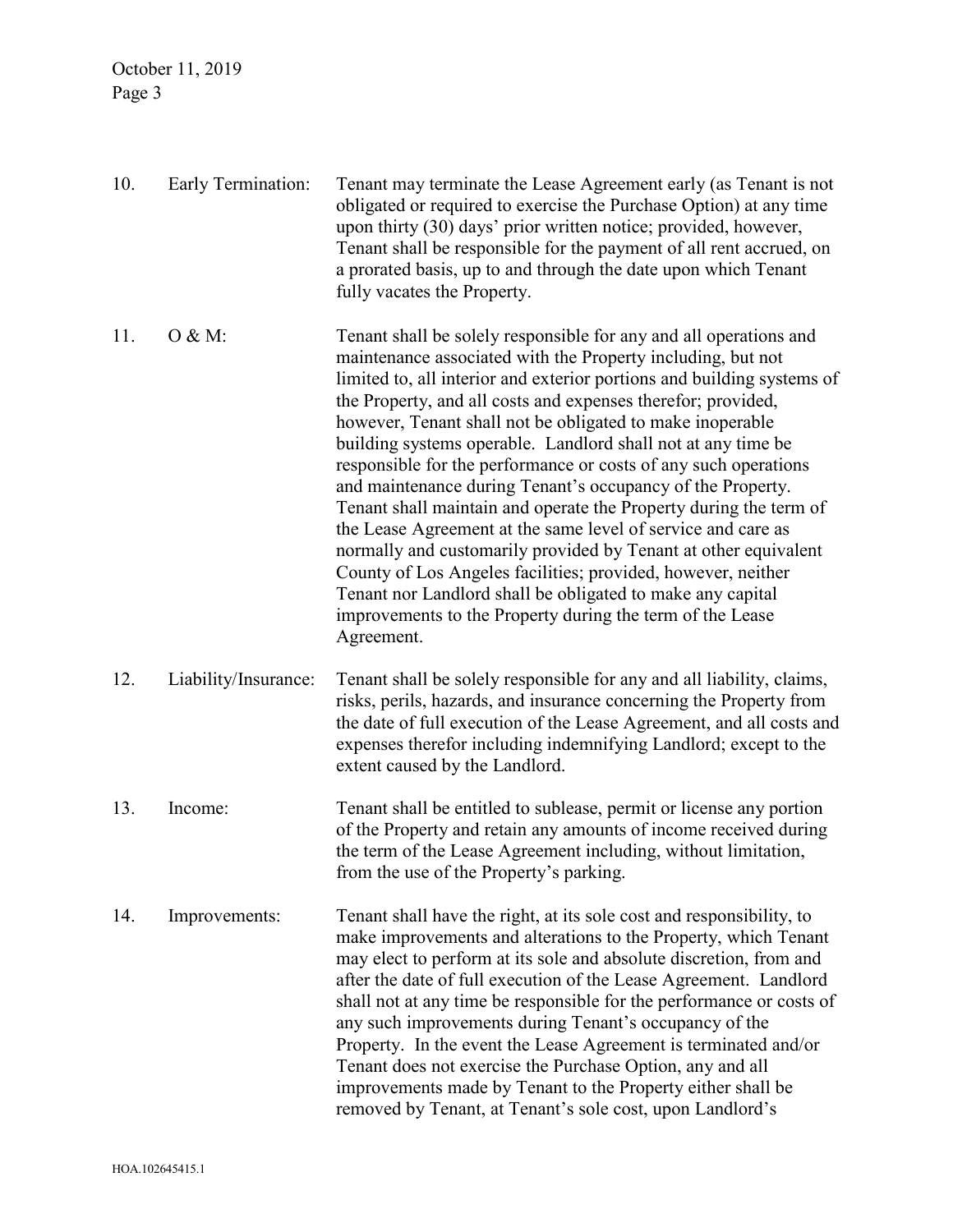October 11, 2019 Page 3

| 10. | Early Termination:   | Tenant may terminate the Lease Agreement early (as Tenant is not<br>obligated or required to exercise the Purchase Option) at any time<br>upon thirty (30) days' prior written notice; provided, however,<br>Tenant shall be responsible for the payment of all rent accrued, on<br>a prorated basis, up to and through the date upon which Tenant<br>fully vacates the Property.                                                                                                                                                                                                                                                                                                                                                                                                                                                                                                                                                                         |
|-----|----------------------|-----------------------------------------------------------------------------------------------------------------------------------------------------------------------------------------------------------------------------------------------------------------------------------------------------------------------------------------------------------------------------------------------------------------------------------------------------------------------------------------------------------------------------------------------------------------------------------------------------------------------------------------------------------------------------------------------------------------------------------------------------------------------------------------------------------------------------------------------------------------------------------------------------------------------------------------------------------|
| 11. | O & M:               | Tenant shall be solely responsible for any and all operations and<br>maintenance associated with the Property including, but not<br>limited to, all interior and exterior portions and building systems of<br>the Property, and all costs and expenses therefor; provided,<br>however, Tenant shall not be obligated to make inoperable<br>building systems operable. Landlord shall not at any time be<br>responsible for the performance or costs of any such operations<br>and maintenance during Tenant's occupancy of the Property.<br>Tenant shall maintain and operate the Property during the term of<br>the Lease Agreement at the same level of service and care as<br>normally and customarily provided by Tenant at other equivalent<br>County of Los Angeles facilities; provided, however, neither<br>Tenant nor Landlord shall be obligated to make any capital<br>improvements to the Property during the term of the Lease<br>Agreement. |
| 12. | Liability/Insurance: | Tenant shall be solely responsible for any and all liability, claims,<br>risks, perils, hazards, and insurance concerning the Property from<br>the date of full execution of the Lease Agreement, and all costs and<br>expenses therefor including indemnifying Landlord; except to the<br>extent caused by the Landlord.                                                                                                                                                                                                                                                                                                                                                                                                                                                                                                                                                                                                                                 |
| 13. | Income:              | Tenant shall be entitled to sublease, permit or license any portion<br>of the Property and retain any amounts of income received during<br>the term of the Lease Agreement including, without limitation,<br>from the use of the Property's parking.                                                                                                                                                                                                                                                                                                                                                                                                                                                                                                                                                                                                                                                                                                      |
| 14. | Improvements:        | Tenant shall have the right, at its sole cost and responsibility, to<br>make improvements and alterations to the Property, which Tenant<br>may elect to perform at its sole and absolute discretion, from and<br>after the date of full execution of the Lease Agreement. Landlord<br>shall not at any time be responsible for the performance or costs of<br>any such improvements during Tenant's occupancy of the<br>Property. In the event the Lease Agreement is terminated and/or<br>Tenant does not exercise the Purchase Option, any and all<br>improvements made by Tenant to the Property either shall be<br>removed by Tenant, at Tenant's sole cost, upon Landlord's                                                                                                                                                                                                                                                                          |